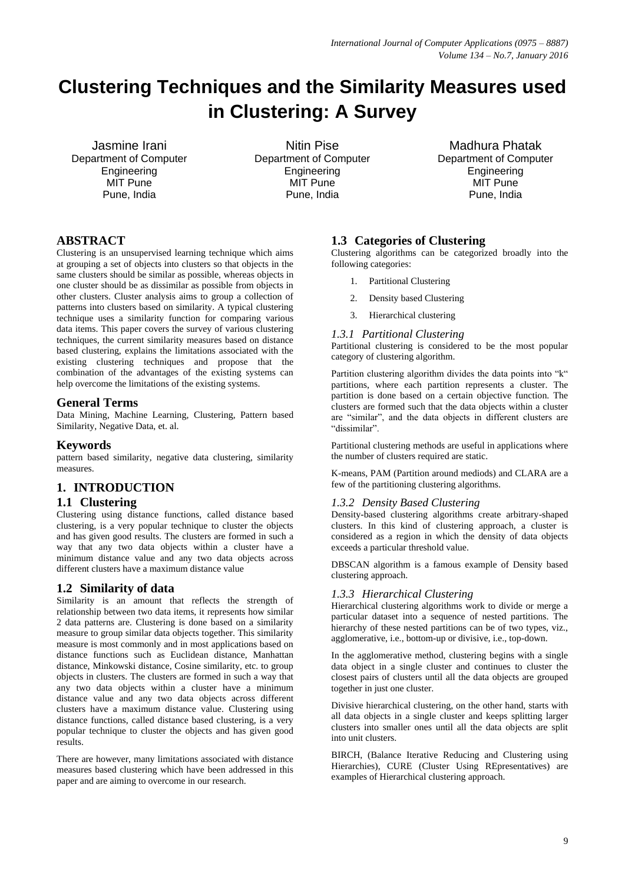# **Clustering Techniques and the Similarity Measures used in Clustering: A Survey**

Jasmine Irani Department of Computer Engineering MIT Pune Pune, India

Nitin Pise Department of Computer **Engineering** MIT Pune Pune, India

Madhura Phatak Department of Computer **Engineering** MIT Pune Pune, India

# **ABSTRACT**

Clustering is an unsupervised learning technique which aims at grouping a set of objects into clusters so that objects in the same clusters should be similar as possible, whereas objects in one cluster should be as dissimilar as possible from objects in other clusters. Cluster analysis aims to group a collection of patterns into clusters based on similarity. A typical clustering technique uses a similarity function for comparing various data items. This paper covers the survey of various clustering techniques, the current similarity measures based on distance based clustering, explains the limitations associated with the existing clustering techniques and propose that the combination of the advantages of the existing systems can help overcome the limitations of the existing systems.

# **General Terms**

Data Mining, Machine Learning, Clustering, Pattern based Similarity, Negative Data, et. al.

### **Keywords**

pattern based similarity, negative data clustering, similarity measures.

# **1. INTRODUCTION**

# **1.1 Clustering**

Clustering using distance functions, called distance based clustering, is a very popular technique to cluster the objects and has given good results. The clusters are formed in such a way that any two data objects within a cluster have a minimum distance value and any two data objects across different clusters have a maximum distance value

### **1.2 Similarity of data**

Similarity is an amount that reflects the strength of relationship between two data items, it represents how similar 2 data patterns are. Clustering is done based on a similarity measure to group similar data objects together. This similarity measure is most commonly and in most applications based on distance functions such as Euclidean distance, Manhattan distance, Minkowski distance, Cosine similarity, etc. to group objects in clusters. The clusters are formed in such a way that any two data objects within a cluster have a minimum distance value and any two data objects across different clusters have a maximum distance value. Clustering using distance functions, called distance based clustering, is a very popular technique to cluster the objects and has given good results.

There are however, many limitations associated with distance measures based clustering which have been addressed in this paper and are aiming to overcome in our research.

# **1.3 Categories of Clustering**

Clustering algorithms can be categorized broadly into the following categories:

- 1. Partitional Clustering
- 2. Density based Clustering
- 3. Hierarchical clustering

#### *1.3.1 Partitional Clustering*

Partitional clustering is considered to be the most popular category of clustering algorithm.

Partition clustering algorithm divides the data points into "k" partitions, where each partition represents a cluster. The partition is done based on a certain objective function. The clusters are formed such that the data objects within a cluster are "similar", and the data objects in different clusters are "dissimilar".

Partitional clustering methods are useful in applications where the number of clusters required are static.

K-means, PAM (Partition around mediods) and CLARA are a few of the partitioning clustering algorithms.

### *1.3.2 Density Based Clustering*

Density-based clustering algorithms create arbitrary-shaped clusters. In this kind of clustering approach, a cluster is considered as a region in which the density of data objects exceeds a particular threshold value.

DBSCAN algorithm is a famous example of Density based clustering approach.

### *1.3.3 Hierarchical Clustering*

Hierarchical clustering algorithms work to divide or merge a particular dataset into a sequence of nested partitions. The hierarchy of these nested partitions can be of two types, viz., agglomerative, i.e., bottom-up or divisive, i.e., top-down.

In the agglomerative method, clustering begins with a single data object in a single cluster and continues to cluster the closest pairs of clusters until all the data objects are grouped together in just one cluster.

Divisive hierarchical clustering, on the other hand, starts with all data objects in a single cluster and keeps splitting larger clusters into smaller ones until all the data objects are split into unit clusters.

BIRCH, (Balance Iterative Reducing and Clustering using Hierarchies), CURE (Cluster Using REpresentatives) are examples of Hierarchical clustering approach.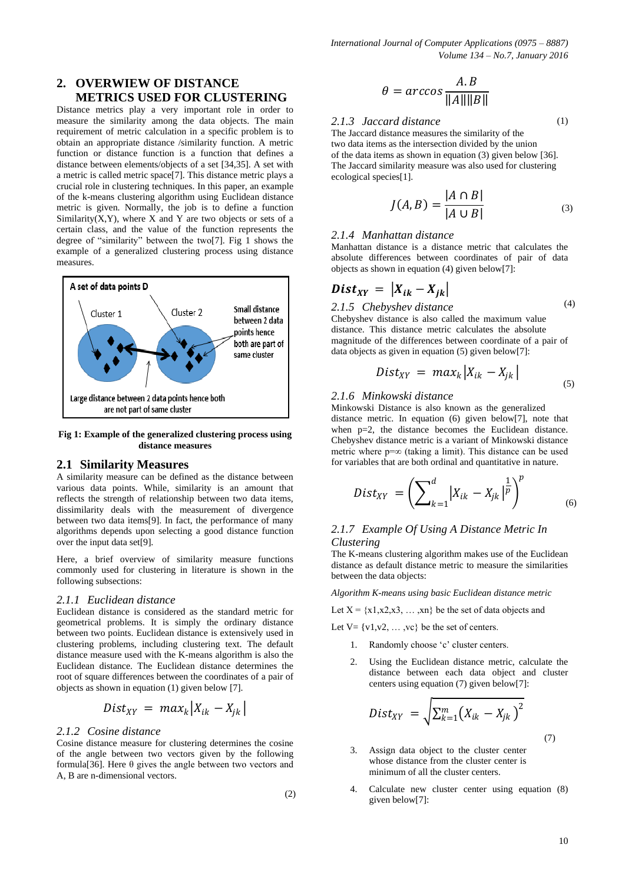# **2. OVERWIEW OF DISTANCE METRICS USED FOR CLUSTERING**

Distance metrics play a very important role in order to measure the similarity among the data objects. The main requirement of metric calculation in a specific problem is to obtain an appropriate distance /similarity function. A metric function or distance function is a function that defines a distance between elements/objects of a set [34,35]. A set with a metric is called metric space[7]. This distance metric plays a crucial role in clustering techniques. In this paper, an example of the k-means clustering algorithm using Euclidean distance metric is given. Normally, the job is to define a function Similarity $(X, Y)$ , where X and Y are two objects or sets of a certain class, and the value of the function represents the degree of "similarity" between the two[7]. Fig 1 shows the example of a generalized clustering process using distance measures.



**Fig 1: Example of the generalized clustering process using distance measures**

#### **2.1 Similarity Measures**

A similarity measure can be defined as the distance between various data points. While, similarity is an amount that reflects the strength of relationship between two data items, dissimilarity deals with the measurement of divergence between two data items[9]. In fact, the performance of many algorithms depends upon selecting a good distance function over the input data set[9].

Here, a brief overview of similarity measure functions commonly used for clustering in literature is shown in the following subsections:

#### *2.1.1 Euclidean distance*

Euclidean distance is considered as the standard metric for geometrical problems. It is simply the ordinary distance between two points. Euclidean distance is extensively used in clustering problems, including clustering text. The default distance measure used with the K-means algorithm is also the Euclidean distance. The Euclidean distance determines the root of square differences between the coordinates of a pair of objects as shown in equation (1) given below [7].

$$
Dist_{XY} = max_k |X_{ik} - X_{jk}|
$$

### *2.1.2 Cosine distance*

Cosine distance measure for clustering determines the cosine of the angle between two vectors given by the following formula[36]. Here θ gives the angle between two vectors and A, B are n-dimensional vectors.

$$
\theta = \arccos \frac{A.B}{\|A\| \|B\|}
$$

### *2.1.3 Jaccard distance*

The Jaccard distance measures the similarity of the two data items as the intersection divided by the union of the data items as shown in equation (3) given below [36]. The Jaccard similarity measure was also used for clustering ecological species[1].

$$
J(A,B) = \frac{|A \cap B|}{|A \cup B|} \tag{3}
$$

(4)

(1)

#### *2.1.4 Manhattan distance*

Manhattan distance is a distance metric that calculates the absolute differences between coordinates of pair of data objects as shown in equation (4) given below[7]:

# $Dist_{XY} = |X_{ik} - X_{ik}|$

### *2.1.5 Chebyshev distance*

Chebyshev distance is also called the maximum value distance. This distance metric calculates the absolute magnitude of the differences between coordinate of a pair of data objects as given in equation (5) given below[7]:

$$
Dist_{XY} = max_k |X_{ik} - X_{jk}|
$$
\n(5)

### *2.1.6 Minkowski distance*

Minkowski Distance is also known as the generalized distance metric. In equation (6) given below[7], note that when p=2, the distance becomes the Euclidean distance. Chebyshev distance metric is a variant of Minkowski distance metric where  $p = \infty$  (taking a limit). This distance can be used for variables that are both ordinal and quantitative in nature.

$$
Dist_{XY} = \left(\sum_{k=1}^{d} |X_{ik} - X_{jk}|^{\frac{1}{p}}\right)^{p}
$$
 (6)

### *2.1.7 Example Of Using A Distance Metric In Clustering*

The K-means clustering algorithm makes use of the Euclidean distance as default distance metric to measure the similarities between the data objects:

*Algorithm K-means using basic Euclidean distance metric*

Let  $X = \{x1, x2, x3, \dots, xn\}$  be the set of data objects and

Let  $V = \{v1, v2, \dots, vc\}$  be the set of centers.

- 1. Randomly choose 'c' cluster centers.
- 2. Using the Euclidean distance metric, calculate the distance between each data object and cluster centers using equation (7) given below[7]:

$$
Dist_{XY} = \sqrt{\sum_{k=1}^{m} (X_{ik} - X_{jk})^2}
$$

- 3. Assign data object to the cluster center whose distance from the cluster center is minimum of all the cluster centers.
- 4. Calculate new cluster center using equation (8) given below[7]:

(7)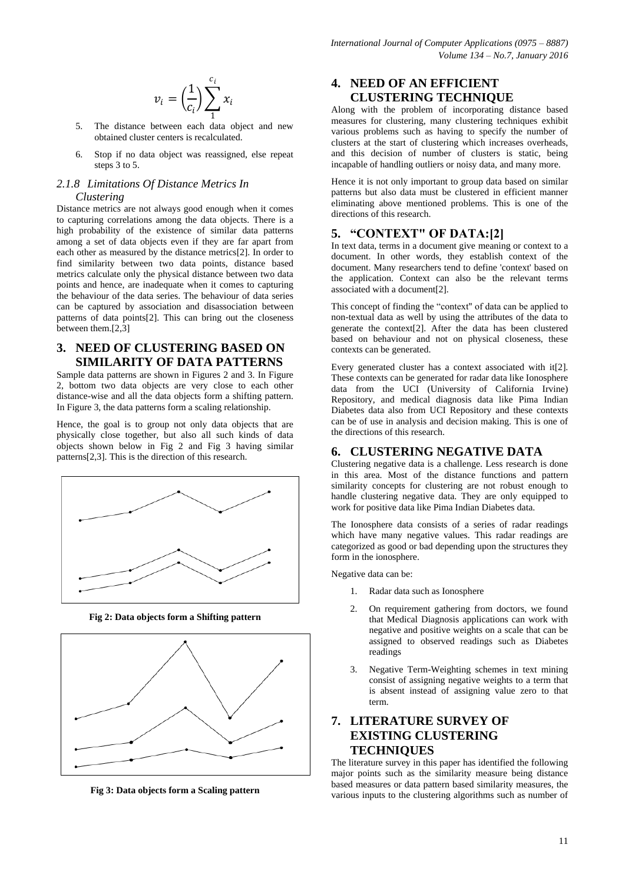$$
v_i = \left(\frac{1}{c_i}\right) \sum_{1}^{c_i} x_i
$$

- 5. The distance between each data object and new obtained cluster centers is recalculated.
- 6. Stop if no data object was reassigned, else repeat steps 3 to 5.

### *2.1.8 Limitations Of Distance Metrics In Clustering*

Distance metrics are not always good enough when it comes to capturing correlations among the data objects. There is a high probability of the existence of similar data patterns among a set of data objects even if they are far apart from each other as measured by the distance metrics[2]. In order to find similarity between two data points, distance based metrics calculate only the physical distance between two data points and hence, are inadequate when it comes to capturing the behaviour of the data series. The behaviour of data series can be captured by association and disassociation between patterns of data points[2]. This can bring out the closeness between them.<sup>[2,3]</sup>

# **3. NEED OF CLUSTERING BASED ON SIMILARITY OF DATA PATTERNS**

Sample data patterns are shown in Figures 2 and 3. In Figure 2, bottom two data objects are very close to each other distance-wise and all the data objects form a shifting pattern. In Figure 3, the data patterns form a scaling relationship.

Hence, the goal is to group not only data objects that are physically close together, but also all such kinds of data objects shown below in Fig 2 and Fig 3 having similar patterns[2,3]. This is the direction of this research.



**Fig 2: Data objects form a Shifting pattern**



**Fig 3: Data objects form a Scaling pattern**

# **4. NEED OF AN EFFICIENT CLUSTERING TECHNIQUE**

Along with the problem of incorporating distance based measures for clustering, many clustering techniques exhibit various problems such as having to specify the number of clusters at the start of clustering which increases overheads, and this decision of number of clusters is static, being incapable of handling outliers or noisy data, and many more.

Hence it is not only important to group data based on similar patterns but also data must be clustered in efficient manner eliminating above mentioned problems. This is one of the directions of this research.

# **5. "CONTEXT" OF DATA:[2]**

In text data, terms in a document give meaning or context to a document. In other words, they establish context of the document. Many researchers tend to define 'context' based on the application. Context can also be the relevant terms associated with a document[2].

This concept of finding the "context" of data can be applied to non-textual data as well by using the attributes of the data to generate the context[2]. After the data has been clustered based on behaviour and not on physical closeness, these contexts can be generated.

Every generated cluster has a context associated with it[2]. These contexts can be generated for radar data like Ionosphere data from the UCI (University of California Irvine) Repository, and medical diagnosis data like Pima Indian Diabetes data also from UCI Repository and these contexts can be of use in analysis and decision making. This is one of the directions of this research.

# **6. CLUSTERING NEGATIVE DATA**

Clustering negative data is a challenge. Less research is done in this area. Most of the distance functions and pattern similarity concepts for clustering are not robust enough to handle clustering negative data. They are only equipped to work for positive data like Pima Indian Diabetes data.

The Ionosphere data consists of a series of radar readings which have many negative values. This radar readings are categorized as good or bad depending upon the structures they form in the ionosphere.

Negative data can be:

- 1. Radar data such as Ionosphere
- 2. On requirement gathering from doctors, we found that Medical Diagnosis applications can work with negative and positive weights on a scale that can be assigned to observed readings such as Diabetes readings
- 3. Negative Term-Weighting schemes in text mining consist of assigning negative weights to a term that is absent instead of assigning value zero to that term.

# **7. LITERATURE SURVEY OF EXISTING CLUSTERING TECHNIQUES**

The literature survey in this paper has identified the following major points such as the similarity measure being distance based measures or data pattern based similarity measures, the various inputs to the clustering algorithms such as number of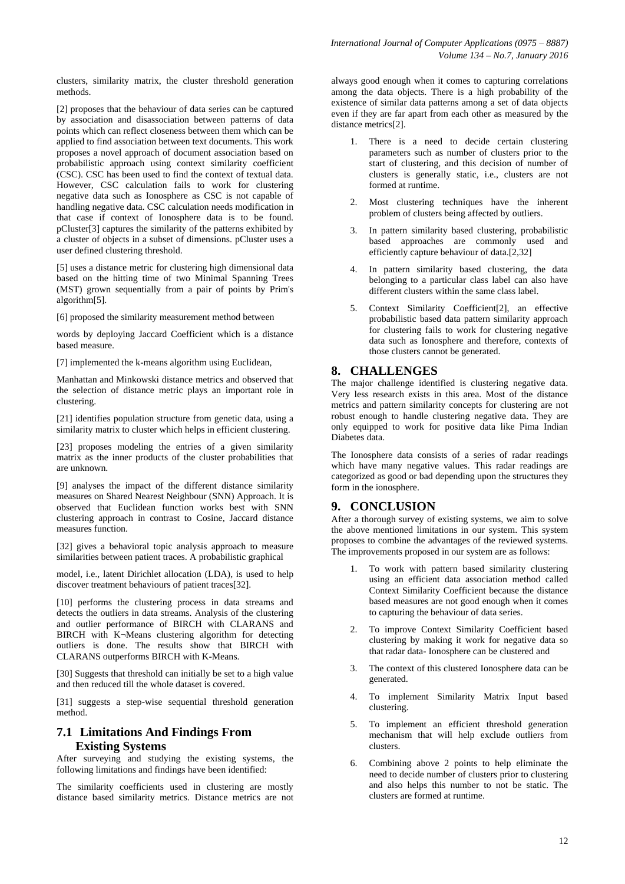clusters, similarity matrix, the cluster threshold generation methods.

[2] proposes that the behaviour of data series can be captured by association and disassociation between patterns of data points which can reflect closeness between them which can be applied to find association between text documents. This work proposes a novel approach of document association based on probabilistic approach using context similarity coefficient (CSC). CSC has been used to find the context of textual data. However, CSC calculation fails to work for clustering negative data such as Ionosphere as CSC is not capable of handling negative data. CSC calculation needs modification in that case if context of Ionosphere data is to be found. pCluster[3] captures the similarity of the patterns exhibited by a cluster of objects in a subset of dimensions. pCluster uses a user defined clustering threshold.

[5] uses a distance metric for clustering high dimensional data based on the hitting time of two Minimal Spanning Trees (MST) grown sequentially from a pair of points by Prim's algorithm[5].

[6] proposed the similarity measurement method between

words by deploying Jaccard Coefficient which is a distance based measure.

[7] implemented the k-means algorithm using Euclidean,

Manhattan and Minkowski distance metrics and observed that the selection of distance metric plays an important role in clustering.

[21] identifies population structure from genetic data, using a similarity matrix to cluster which helps in efficient clustering.

[23] proposes modeling the entries of a given similarity matrix as the inner products of the cluster probabilities that are unknown.

[9] analyses the impact of the different distance similarity measures on Shared Nearest Neighbour (SNN) Approach. It is observed that Euclidean function works best with SNN clustering approach in contrast to Cosine, Jaccard distance measures function.

[32] gives a behavioral topic analysis approach to measure similarities between patient traces. A probabilistic graphical

model, i.e., latent Dirichlet allocation (LDA), is used to help discover treatment behaviours of patient traces[32].

[10] performs the clustering process in data streams and detects the outliers in data streams. Analysis of the clustering and outlier performance of BIRCH with CLARANS and BIRCH with K¬Means clustering algorithm for detecting outliers is done. The results show that BIRCH with CLARANS outperforms BIRCH with K-Means.

[30] Suggests that threshold can initially be set to a high value and then reduced till the whole dataset is covered.

[31] suggests a step-wise sequential threshold generation method.

# **7.1 Limitations And Findings From Existing Systems**

After surveying and studying the existing systems, the following limitations and findings have been identified:

The similarity coefficients used in clustering are mostly distance based similarity metrics. Distance metrics are not always good enough when it comes to capturing correlations among the data objects. There is a high probability of the existence of similar data patterns among a set of data objects even if they are far apart from each other as measured by the distance metrics[2].

- 1. There is a need to decide certain clustering parameters such as number of clusters prior to the start of clustering, and this decision of number of clusters is generally static, i.e., clusters are not formed at runtime.
- 2. Most clustering techniques have the inherent problem of clusters being affected by outliers.
- 3. In pattern similarity based clustering, probabilistic based approaches are commonly used and efficiently capture behaviour of data.[2,32]
- 4. In pattern similarity based clustering, the data belonging to a particular class label can also have different clusters within the same class label.
- 5. Context Similarity Coefficient[2], an effective probabilistic based data pattern similarity approach for clustering fails to work for clustering negative data such as Ionosphere and therefore, contexts of those clusters cannot be generated.

# **8. CHALLENGES**

The major challenge identified is clustering negative data. Very less research exists in this area. Most of the distance metrics and pattern similarity concepts for clustering are not robust enough to handle clustering negative data. They are only equipped to work for positive data like Pima Indian Diabetes data.

The Ionosphere data consists of a series of radar readings which have many negative values. This radar readings are categorized as good or bad depending upon the structures they form in the ionosphere.

# **9. CONCLUSION**

After a thorough survey of existing systems, we aim to solve the above mentioned limitations in our system. This system proposes to combine the advantages of the reviewed systems. The improvements proposed in our system are as follows:

- 1. To work with pattern based similarity clustering using an efficient data association method called Context Similarity Coefficient because the distance based measures are not good enough when it comes to capturing the behaviour of data series.
- 2. To improve Context Similarity Coefficient based clustering by making it work for negative data so that radar data- Ionosphere can be clustered and
- 3. The context of this clustered Ionosphere data can be generated.
- 4. To implement Similarity Matrix Input based clustering.
- 5. To implement an efficient threshold generation mechanism that will help exclude outliers from clusters.
- 6. Combining above 2 points to help eliminate the need to decide number of clusters prior to clustering and also helps this number to not be static. The clusters are formed at runtime.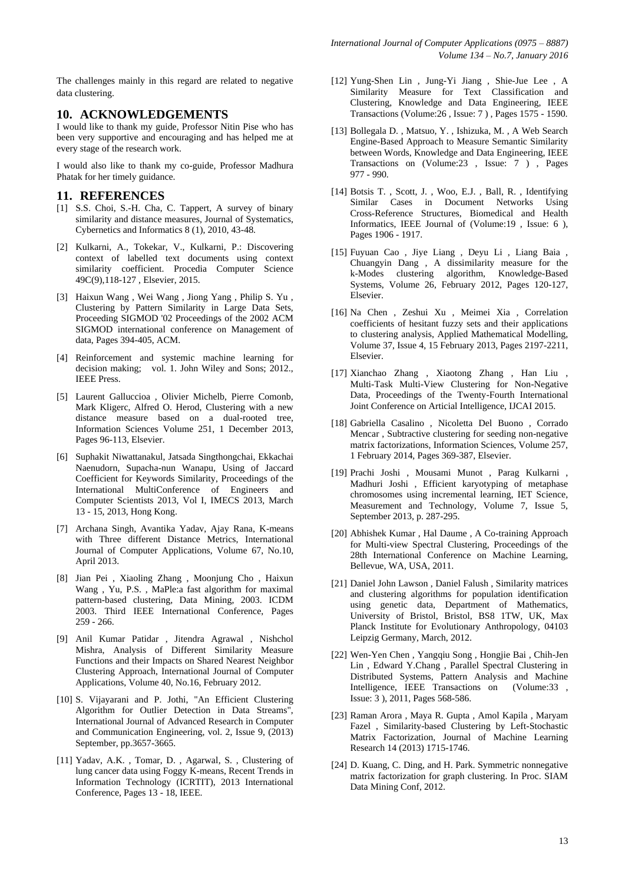The challenges mainly in this regard are related to negative data clustering.

### **10. ACKNOWLEDGEMENTS**

I would like to thank my guide, Professor Nitin Pise who has been very supportive and encouraging and has helped me at every stage of the research work.

I would also like to thank my co-guide, Professor Madhura Phatak for her timely guidance.

### **11. REFERENCES**

- [1] S.S. Choi, S.-H. Cha, C. Tappert, A survey of binary similarity and distance measures, Journal of Systematics, Cybernetics and Informatics 8 (1), 2010, 43-48.
- [2] Kulkarni, A., Tokekar, V., Kulkarni, P.: Discovering context of labelled text documents using context similarity coefficient. Procedia Computer Science 49C(9),118-127 , Elsevier, 2015.
- [3] Haixun Wang , Wei Wang , Jiong Yang , Philip S. Yu , Clustering by Pattern Similarity in Large Data Sets, Proceeding SIGMOD '02 Proceedings of the 2002 ACM SIGMOD international conference on Management of data, Pages 394-405, ACM.
- [4] Reinforcement and systemic machine learning for decision making; vol. 1. John Wiley and Sons; 2012., IEEE Press.
- [5] Laurent Galluccioa , Olivier Michelb, Pierre Comonb, Mark Kligerc, Alfred O. Herod, Clustering with a new distance measure based on a dual-rooted tree, Information Sciences Volume 251, 1 December 2013, Pages 96-113, Elsevier.
- [6] Suphakit Niwattanakul, Jatsada Singthongchai, Ekkachai Naenudorn, Supacha-nun Wanapu, Using of Jaccard Coefficient for Keywords Similarity, Proceedings of the International MultiConference of Engineers and Computer Scientists 2013, Vol I, IMECS 2013, March 13 - 15, 2013, Hong Kong.
- [7] Archana Singh, Avantika Yadav, Ajay Rana, K-means with Three different Distance Metrics, International Journal of Computer Applications, Volume 67, No.10, April 2013.
- [8] Jian Pei , Xiaoling Zhang , Moonjung Cho , Haixun Wang , Yu, P.S. , MaPle:a fast algorithm for maximal pattern-based clustering, Data Mining, 2003. ICDM 2003. Third IEEE International Conference, Pages 259 - 266.
- [9] Anil Kumar Patidar , Jitendra Agrawal , Nishchol Mishra, Analysis of Different Similarity Measure Functions and their Impacts on Shared Nearest Neighbor Clustering Approach, International Journal of Computer Applications, Volume 40, No.16, February 2012.
- [10] S. Vijayarani and P. Jothi, "An Efficient Clustering Algorithm for Outlier Detection in Data Streams", International Journal of Advanced Research in Computer and Communication Engineering, vol. 2, Issue 9, (2013) September, pp.3657-3665.
- [11] Yadav, A.K. , Tomar, D. , Agarwal, S. , Clustering of lung cancer data using Foggy K-means, Recent Trends in Information Technology (ICRTIT), 2013 International Conference, Pages 13 - 18, IEEE.
- [12] Yung-Shen Lin , Jung-Yi Jiang , Shie-Jue Lee , A Similarity Measure for Text Classification and Clustering, Knowledge and Data Engineering, IEEE Transactions (Volume:26 , Issue: 7 ) , Pages 1575 - 1590.
- [13] Bollegala D. , Matsuo, Y. , Ishizuka, M. , A Web Search Engine-Based Approach to Measure Semantic Similarity between Words, Knowledge and Data Engineering, IEEE Transactions on (Volume:23 , Issue: 7 ) , Pages 977 - 990.
- [14] Botsis T. , Scott, J. , Woo, E.J. , Ball, R. , Identifying Similar Cases in Document Networks Using Cross-Reference Structures, Biomedical and Health Informatics, IEEE Journal of (Volume:19 , Issue: 6 ), Pages 1906 - 1917.
- [15] Fuyuan Cao , Jiye Liang , Deyu Li , Liang Baia , Chuangyin Dang , A dissimilarity measure for the k-Modes clustering algorithm, Knowledge-Based Systems, Volume 26, February 2012, Pages 120-127, Elsevier.
- [16] Na Chen , Zeshui Xu , Meimei Xia , Correlation coefficients of hesitant fuzzy sets and their applications to clustering analysis, Applied Mathematical Modelling, Volume 37, Issue 4, 15 February 2013, Pages 2197-2211, Elsevier.
- [17] Xianchao Zhang , Xiaotong Zhang , Han Liu , Multi-Task Multi-View Clustering for Non-Negative Data, Proceedings of the Twenty-Fourth International Joint Conference on Articial Intelligence, IJCAI 2015.
- [18] Gabriella Casalino , Nicoletta Del Buono , Corrado Mencar , Subtractive clustering for seeding non-negative matrix factorizations, Information Sciences, Volume 257, 1 February 2014, Pages 369-387, Elsevier.
- [19] Prachi Joshi , Mousami Munot , Parag Kulkarni , Madhuri Joshi , Efficient karyotyping of metaphase chromosomes using incremental learning, IET Science, Measurement and Technology, Volume 7, Issue 5, September 2013, p. 287-295.
- [20] Abhishek Kumar , Hal Daume , A Co-training Approach for Multi-view Spectral Clustering, Proceedings of the 28th International Conference on Machine Learning, Bellevue, WA, USA, 2011.
- [21] Daniel John Lawson , Daniel Falush , Similarity matrices and clustering algorithms for population identification using genetic data, Department of Mathematics, University of Bristol, Bristol, BS8 1TW, UK, Max Planck Institute for Evolutionary Anthropology, 04103 Leipzig Germany, March, 2012.
- [22] Wen-Yen Chen , Yangqiu Song , Hongjie Bai , Chih-Jen Lin , Edward Y.Chang , Parallel Spectral Clustering in Distributed Systems, Pattern Analysis and Machine Intelligence, IEEE Transactions on (Volume:33 , Issue: 3 ), 2011, Pages 568-586.
- [23] Raman Arora , Maya R. Gupta , Amol Kapila , Maryam Fazel , Similarity-based Clustering by Left-Stochastic Matrix Factorization, Journal of Machine Learning Research 14 (2013) 1715-1746.
- [24] D. Kuang, C. Ding, and H. Park. Symmetric nonnegative matrix factorization for graph clustering. In Proc. SIAM Data Mining Conf, 2012.